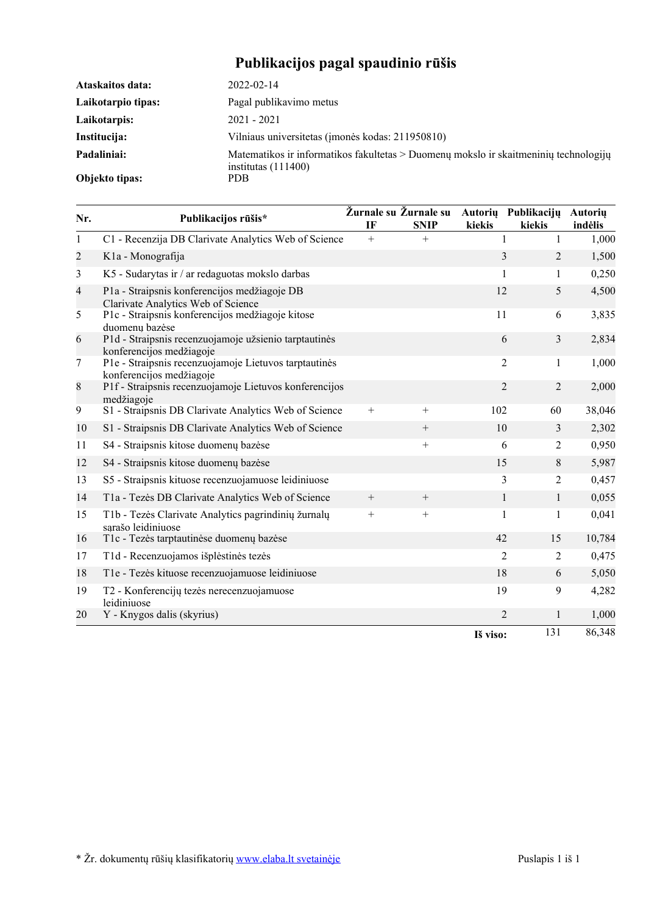# **Publikacijos pagal spaudinio rūšis**

| Ataskaitos data:   | 2022-02-14                                                                                                      |
|--------------------|-----------------------------------------------------------------------------------------------------------------|
| Laikotarpio tipas: | Pagal publikavimo metus                                                                                         |
| Laikotarpis:       | $2021 - 2021$                                                                                                   |
| Institucija:       | Vilniaus universitetas (imonės kodas: 211950810)                                                                |
| Padaliniai:        | Matematikos ir informatikos fakultetas $>$ Duomenų mokslo ir skaitmeninių technologijų<br>institutas $(111400)$ |
| Objekto tipas:     | PDB.                                                                                                            |

| Nr.            | Publikacijos rūšis*                                                                | IF     | Žurnale su Žurnale su<br><b>SNIP</b> | kiekis         | Autorių Publikacijų Autorių<br>kiekis | indėlis |
|----------------|------------------------------------------------------------------------------------|--------|--------------------------------------|----------------|---------------------------------------|---------|
| $\mathbf{1}$   | C1 - Recenzija DB Clarivate Analytics Web of Science                               | $+$    | $^{+}$                               | $\mathbf{1}$   | $\mathbf{1}$                          | 1,000   |
| $\mathbf{2}$   | K1a - Monografija                                                                  |        |                                      | 3              | $\overline{2}$                        | 1,500   |
| 3              | K5 - Sudarytas ir / ar redaguotas mokslo darbas                                    |        |                                      | 1              | 1                                     | 0,250   |
| $\overline{4}$ | P1a - Straipsnis konferencijos medžiagoje DB<br>Clarivate Analytics Web of Science |        |                                      | 12             | 5                                     | 4,500   |
| 5              | P1c - Straipsnis konferencijos medžiagoje kitose<br>duomenų bazėse                 |        |                                      | 11             | 6                                     | 3,835   |
| 6              | P1d - Straipsnis recenzuojamoje užsienio tarptautinės<br>konferencijos medžiagoje  |        |                                      |                | 3<br>6                                | 2,834   |
| 7              | P1e - Straipsnis recenzuojamoje Lietuvos tarptautinės<br>konferencijos medžiagoje  |        |                                      |                | $\overline{2}$<br>1                   | 1,000   |
| 8              | P1f - Straipsnis recenzuojamoje Lietuvos konferencijos<br>medžiagoje               |        |                                      | $\overline{2}$ | $\overline{2}$                        | 2,000   |
| 9              | S1 - Straipsnis DB Clarivate Analytics Web of Science                              | $+$    | $+$                                  | 102            | 60                                    | 38,046  |
| 10             | S1 - Straipsnis DB Clarivate Analytics Web of Science                              |        |                                      | 10             | 3                                     | 2,302   |
| 11             | S4 - Straipsnis kitose duomenų bazėse                                              |        | $+$                                  | 6              | 2                                     | 0,950   |
| 12             | S4 - Straipsnis kitose duomenų bazėse                                              |        |                                      | 15             | 8                                     | 5,987   |
| 13             | S5 - Straipsnis kituose recenzuojamuose leidiniuose                                |        |                                      | 3              | 2                                     | 0,457   |
| 14             | T1a - Tezės DB Clarivate Analytics Web of Science                                  |        |                                      | $\mathbf{1}$   | 1                                     | 0,055   |
| 15             | T1b - Tezės Clarivate Analytics pagrindinių žurnalų<br>sarašo leidiniuose          | $^{+}$ | $^{+}$                               | 1              | 1                                     | 0,041   |
| 16             | T1c - Tezės tarptautinėse duomenų bazėse                                           |        |                                      | 42             | 15                                    | 10,784  |
| 17             | T1d - Recenzuojamos išplėstinės tezės                                              |        |                                      | $\overline{c}$ | $\overline{2}$                        | 0,475   |
| 18             | T1e - Tezės kituose recenzuojamuose leidiniuose                                    |        |                                      | 18             | 6                                     | 5,050   |
| 19             | T2 - Konferencijų tezės nerecenzuojamuose<br>leidiniuose                           |        |                                      | 19             | 9                                     | 4,282   |
| 20             | Y - Knygos dalis (skyrius)                                                         |        |                                      |                | $\overline{2}$<br>$\mathbf{1}$        | 1,000   |
|                |                                                                                    |        |                                      | Iš viso:       | 131                                   | 86,348  |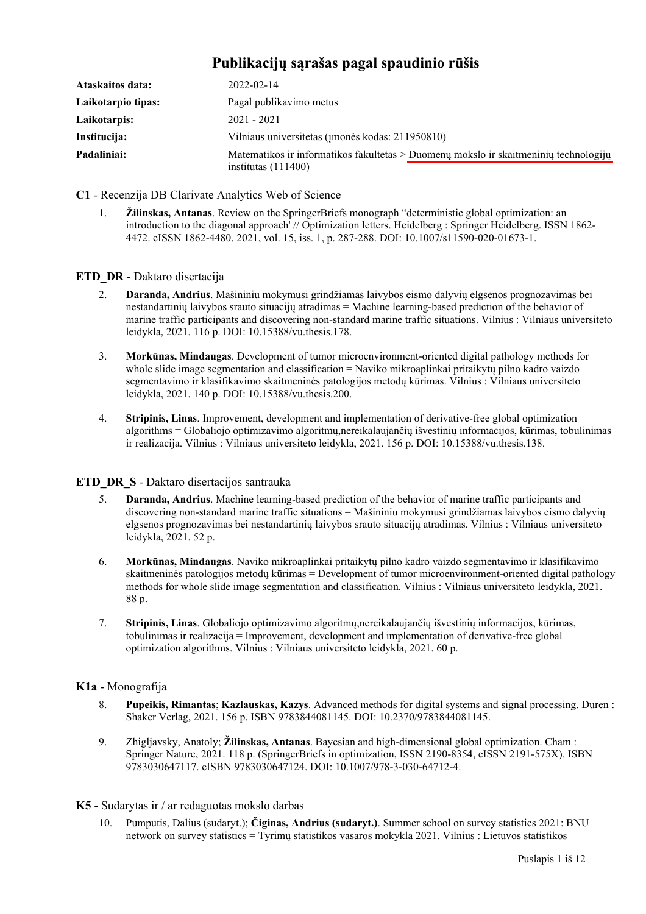| Ataskaitos data:   | $2022 - 02 - 14$                                                                                              |  |  |
|--------------------|---------------------------------------------------------------------------------------------------------------|--|--|
| Laikotarpio tipas: | Pagal publikavimo metus                                                                                       |  |  |
| Laikotarpis:       | $2021 - 2021$                                                                                                 |  |  |
| Institucija:       | Vilniaus universitetas (imonės kodas: 211950810)                                                              |  |  |
| Padaliniai:        | Matematikos ir informatikos fakultetas > Duomenų mokslo ir skaitmeninių technologijų<br>institutas $(111400)$ |  |  |

# **Publikacijų sąrašas pagal spaudinio rūšis**

**C1** - Recenzija DB Clarivate Analytics Web of Science

1. **Žilinskas, Antanas**. Review on the SpringerBriefs monograph "deterministic global optimization: an introduction to the diagonal approach' // Optimization letters. Heidelberg : Springer Heidelberg. ISSN 1862- 4472. eISSN 1862-4480. 2021, vol. 15, iss. 1, p. 287-288. DOI: [10.1007/s11590-020-01673-1.](https://doi.org/10.1007/s11590-020-01673-1)

# **ETD\_DR** - Daktaro disertacija

- 2. **Daranda, Andrius**. Mašininiu mokymusi grindžiamas laivybos eismo dalyvių elgsenos prognozavimas bei nestandartinių laivybos srauto situacijų atradimas = Machine learning-based prediction of the behavior of marine traffic participants and discovering non-standard marine traffic situations. Vilnius : Vilniaus universiteto leidykla, 2021. 116 p. DOI: [10.15388/vu.thesis.178.](https://doi.org/10.15388/vu.thesis.178)
- 3. **Morkūnas, Mindaugas**. Development of tumor microenvironment-oriented digital pathology methods for whole slide image segmentation and classification = Naviko mikroaplinkai pritaikytų pilno kadro vaizdo segmentavimo ir klasifikavimo skaitmeninės patologijos metodų kūrimas. Vilnius : Vilniaus universiteto leidykla, 2021. 140 p. DOI: [10.15388/vu.thesis.200.](https://doi.org/10.15388/vu.thesis.200)
- 4. **Stripinis, Linas**. Improvement, development and implementation of derivative-free global optimization algorithms = Globaliojo optimizavimo algoritmų,nereikalaujančių išvestinių informacijos, kūrimas, tobulinimas ir realizacija. Vilnius : Vilniaus universiteto leidykla, 2021. 156 p. DOI: [10.15388/vu.thesis.138.](https://doi.org/10.15388/vu.thesis.138)

# **ETD DR S** - Daktaro disertacijos santrauka

- 5. **Daranda, Andrius**. Machine learning-based prediction of the behavior of marine traffic participants and discovering non-standard marine traffic situations = Mašininiu mokymusi grindžiamas laivybos eismo dalyvių elgsenos prognozavimas bei nestandartinių laivybos srauto situacijų atradimas. Vilnius : Vilniaus universiteto leidykla, 2021. 52 p.
- 6. **Morkūnas, Mindaugas**. Naviko mikroaplinkai pritaikytų pilno kadro vaizdo segmentavimo ir klasifikavimo skaitmeninės patologijos metodų kūrimas = Development of tumor microenvironment-oriented digital pathology methods for whole slide image segmentation and classification. Vilnius : Vilniaus universiteto leidykla, 2021. 88 p.
- 7. **Stripinis, Linas**. Globaliojo optimizavimo algoritmų,nereikalaujančių išvestinių informacijos, kūrimas, tobulinimas ir realizacija = Improvement, development and implementation of derivative-free global optimization algorithms. Vilnius : Vilniaus universiteto leidykla, 2021. 60 p.

# **K1a** - Monografija

- 8. **Pupeikis, Rimantas**; **Kazlauskas, Kazys**. Advanced methods for digital systems and signal processing. Duren : Shaker Verlag, 2021. 156 p. ISBN 9783844081145. DOI: [10.2370/9783844081145.](https://doi.org/10.2370/9783844081145)
- 9. Zhigljavsky, Anatoly; **Žilinskas, Antanas**. Bayesian and high-dimensional global optimization. Cham : Springer Nature, 2021. 118 p. (SpringerBriefs in optimization, ISSN 2190-8354, eISSN 2191-575X). ISBN 9783030647117. eISBN 9783030647124. DOI: [10.1007/978-3-030-64712-4](https://doi.org/10.1007/978-3-030-64712-4).

# **K5** - Sudarytas ir / ar redaguotas mokslo darbas

10. Pumputis, Dalius (sudaryt.); **Čiginas, Andrius (sudaryt.)**. Summer school on survey statistics 2021: BNU network on survey statistics = Tyrimų statistikos vasaros mokykla 2021. Vilnius : Lietuvos statistikos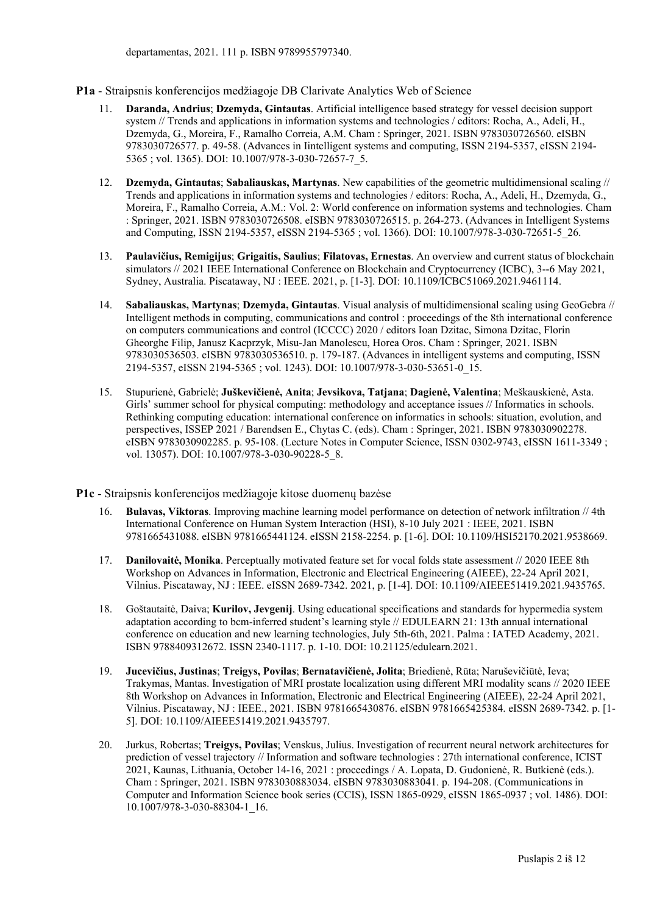#### **P1a** - Straipsnis konferencijos medžiagoje DB Clarivate Analytics Web of Science

- 11. **Daranda, Andrius**; **Dzemyda, Gintautas**. Artificial intelligence based strategy for vessel decision support system // Trends and applications in information systems and technologies / editors: Rocha, A., Adeli, H., Dzemyda, G., Moreira, F., Ramalho Correia, A.M. Cham : Springer, 2021. ISBN 9783030726560. eISBN 9783030726577. p. 49-58. (Advances in Iintelligent systems and computing, ISSN 2194-5357, eISSN 2194- 5365 ; vol. 1365). DOI: [10.1007/978-3-030-72657-7\\_5](https://doi.org/10.1007/978-3-030-72657-7_5).
- 12. **Dzemyda, Gintautas**; **Sabaliauskas, Martynas**. New capabilities of the geometric multidimensional scaling // Trends and applications in information systems and technologies / editors: Rocha, A., Adeli, H., Dzemyda, G., Moreira, F., Ramalho Correia, A.M.: Vol. 2: World conference on information systems and technologies. Cham : Springer, 2021. ISBN 9783030726508. eISBN 9783030726515. p. 264-273. (Advances in Intelligent Systems and Computing, ISSN 2194-5357, eISSN 2194-5365 ; vol. 1366). DOI: [10.1007/978-3-030-72651-5\\_26.](https://doi.org/10.1007/978-3-030-72651-5_26)
- 13. **Paulavičius, Remigijus**; **Grigaitis, Saulius**; **Filatovas, Ernestas**. An overview and current status of blockchain simulators // 2021 IEEE International Conference on Blockchain and Cryptocurrency (ICBC), 3--6 May 2021, Sydney, Australia. Piscataway, NJ : IEEE. 2021, p. [1-3]. DOI: [10.1109/ICBC51069.2021.9461114.](https://doi.org/10.1109/ICBC51069.2021.9461114)
- 14. **Sabaliauskas, Martynas**; **Dzemyda, Gintautas**. Visual analysis of multidimensional scaling using GeoGebra // Intelligent methods in computing, communications and control : proceedings of the 8th international conference on computers communications and control (ICCCC) 2020 / editors Ioan Dzitac, Simona Dzitac, Florin Gheorghe Filip, Janusz Kacprzyk, Misu-Jan Manolescu, Horea Oros. Cham : Springer, 2021. ISBN 9783030536503. eISBN 9783030536510. p. 179-187. (Advances in intelligent systems and computing, ISSN 2194-5357, eISSN 2194-5365 ; vol. 1243). DOI: [10.1007/978-3-030-53651-0\\_15.](https://doi.org/10.1007/978-3-030-53651-0_15)
- 15. Stupurienė, Gabrielė; **Juškevičienė, Anita**; **Jevsikova, Tatjana**; **Dagienė, Valentina**; Meškauskienė, Asta. Girls' summer school for physical computing: methodology and acceptance issues // Informatics in schools. Rethinking computing education: international conference on informatics in schools: situation, evolution, and perspectives, ISSEP 2021 / Barendsen E., Chytas C. (eds). Cham : Springer, 2021. ISBN 9783030902278. eISBN 9783030902285. p. 95-108. (Lecture Notes in Computer Science, ISSN 0302-9743, eISSN 1611-3349 ; vol. 13057). DOI: [10.1007/978-3-030-90228-5\\_8.](https://doi.org/10.1007/978-3-030-90228-5_8)
- **P1c** Straipsnis konferencijos medžiagoje kitose duomenų bazėse
	- 16. **Bulavas, Viktoras**. Improving machine learning model performance on detection of network infiltration // 4th International Conference on Human System Interaction (HSI), 8-10 July 2021 : IEEE, 2021. ISBN 9781665431088. eISBN 9781665441124. eISSN 2158-2254. p. [1-6]. DOI: [10.1109/HSI52170.2021.9538669](https://doi.org/10.1109/HSI52170.2021.9538669).
	- 17. **Danilovaitė, Monika**. Perceptually motivated feature set for vocal folds state assessment // 2020 IEEE 8th Workshop on Advances in Information, Electronic and Electrical Engineering (AIEEE), 22-24 April 2021, Vilnius. Piscataway, NJ : IEEE. eISSN 2689-7342. 2021, p. [1-4]. DOI: [10.1109/AIEEE51419.2021.9435765.](https://doi.org/10.1109/AIEEE51419.2021.9435765)
	- 18. Goštautaitė, Daiva; **Kurilov, Jevgenij**. Using educational specifications and standards for hypermedia system adaptation according to bcm-inferred student's learning style // EDULEARN 21: 13th annual international conference on education and new learning technologies, July 5th-6th, 2021. Palma : IATED Academy, 2021. ISBN 9788409312672. ISSN 2340-1117. p. 1-10. DOI: [10.21125/edulearn.2021](https://doi.org/10.21125/edulearn.2021).
	- 19. **Jucevičius, Justinas**; **Treigys, Povilas**; **Bernatavičienė, Jolita**; Briedienė, Rūta; Naruševičiūtė, Ieva; Trakymas, Mantas. Investigation of MRI prostate localization using different MRI modality scans // 2020 IEEE 8th Workshop on Advances in Information, Electronic and Electrical Engineering (AIEEE), 22-24 April 2021, Vilnius. Piscataway, NJ : IEEE., 2021. ISBN 9781665430876. eISBN 9781665425384. eISSN 2689-7342. p. [1- 5]. DOI: [10.1109/AIEEE51419.2021.9435797](https://doi.org/10.1109/AIEEE51419.2021.9435797).
	- 20. Jurkus, Robertas; **Treigys, Povilas**; Venskus, Julius. Investigation of recurrent neural network architectures for prediction of vessel trajectory // Information and software technologies : 27th international conference, ICIST 2021, Kaunas, Lithuania, October 14-16, 2021 : proceedings / A. Lopata, D. Gudonienė, R. Butkienė (eds.). Cham : Springer, 2021. ISBN 9783030883034. eISBN 9783030883041. p. 194-208. (Communications in Computer and Information Science book series (CCIS), ISSN 1865-0929, eISSN 1865-0937 ; vol. 1486). DOI: [10.1007/978-3-030-88304-1\\_16.](https://doi.org/10.1007/978-3-030-88304-1_16)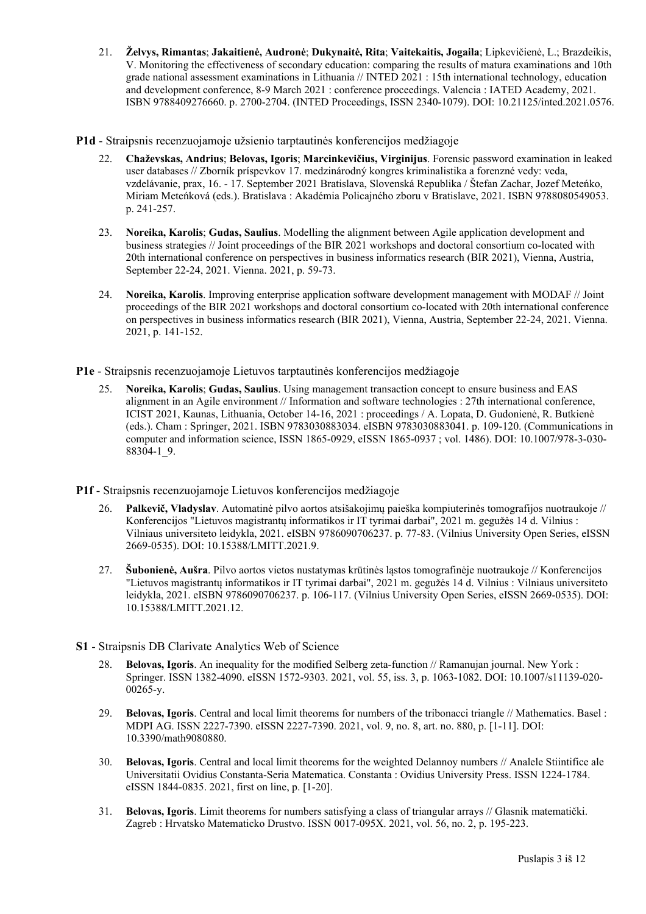- 21. **Želvys, Rimantas**; **Jakaitienė, Audronė**; **Dukynaitė, Rita**; **Vaitekaitis, Jogaila**; Lipkevičienė, L.; Brazdeikis, V. Monitoring the effectiveness of secondary education: comparing the results of matura examinations and 10th grade national assessment examinations in Lithuania // INTED 2021 : 15th international technology, education and development conference, 8-9 March 2021 : conference proceedings. Valencia : IATED Academy, 2021. ISBN 9788409276660. p. 2700-2704. (INTED Proceedings, ISSN 2340-1079). DOI: [10.21125/inted.2021.0576](https://doi.org/10.21125/inted.2021.0576).
- **P1d** Straipsnis recenzuojamoje užsienio tarptautinės konferencijos medžiagoje
	- 22. **Chaževskas, Andrius**; **Belovas, Igoris**; **Marcinkevičius, Virginijus**. Forensic password examination in leaked user databases // Zborník príspevkov 17. medzinárodný kongres kriminalistika a forenzné vedy: veda, vzdelávanie, prax, 16. - 17. September 2021 Bratislava, Slovenská Republika / Štefan Zachar, Jozef Meteńko, Miriam Meteńková (eds.). Bratislava : Akadémia Policajného zboru v Bratislave, 2021. ISBN 9788080549053. p. 241-257.
	- 23. **Noreika, Karolis**; **Gudas, Saulius**. Modelling the alignment between Agile application development and business strategies // Joint proceedings of the BIR 2021 workshops and doctoral consortium co-located with 20th international conference on perspectives in business informatics research (BIR 2021), Vienna, Austria, September 22-24, 2021. Vienna. 2021, p. 59-73.
	- 24. **Noreika, Karolis**. Improving enterprise application software development management with MODAF // Joint proceedings of the BIR 2021 workshops and doctoral consortium co-located with 20th international conference on perspectives in business informatics research (BIR 2021), Vienna, Austria, September 22-24, 2021. Vienna. 2021, p. 141-152.

**P1e** - Straipsnis recenzuojamoje Lietuvos tarptautinės konferencijos medžiagoje

- 25. **Noreika, Karolis**; **Gudas, Saulius**. Using management transaction concept to ensure business and EAS alignment in an Agile environment // Information and software technologies : 27th international conference, ICIST 2021, Kaunas, Lithuania, October 14-16, 2021 : proceedings / A. Lopata, D. Gudonienė, R. Butkienė (eds.). Cham : Springer, 2021. ISBN 9783030883034. eISBN 9783030883041. p. 109-120. (Communications in computer and information science, ISSN 1865-0929, eISSN 1865-0937 ; vol. 1486). DOI: [10.1007/978-3-030-](https://doi.org/10.1007/978-3-030-88304-1_9) [88304-1\\_9](https://doi.org/10.1007/978-3-030-88304-1_9).
- **P1f** Straipsnis recenzuojamoje Lietuvos konferencijos medžiagoje
	- 26. **Palkevič, Vladyslav**. Automatinė pilvo aortos atsišakojimų paieška kompiuterinės tomografijos nuotraukoje // Konferencijos "Lietuvos magistrantų informatikos ir IT tyrimai darbai", 2021 m. gegužės 14 d. Vilnius : Vilniaus universiteto leidykla, 2021. eISBN 9786090706237. p. 77-83. (Vilnius University Open Series, eISSN 2669-0535). DOI: [10.15388/LMITT.2021.9](https://doi.org/10.15388/LMITT.2021.9).
	- 27. **Šubonienė, Aušra**. Pilvo aortos vietos nustatymas krūtinės ląstos tomografinėje nuotraukoje // Konferencijos "Lietuvos magistrantų informatikos ir IT tyrimai darbai", 2021 m. gegužės 14 d. Vilnius : Vilniaus universiteto leidykla, 2021. eISBN 9786090706237. p. 106-117. (Vilnius University Open Series, eISSN 2669-0535). DOI: [10.15388/LMITT.2021.12.](https://doi.org/10.15388/LMITT.2021.12)
- **S1** Straipsnis DB Clarivate Analytics Web of Science
	- 28. **Belovas, Igoris**. An inequality for the modified Selberg zeta-function // Ramanujan journal. New York : Springer. ISSN 1382-4090. eISSN 1572-9303. 2021, vol. 55, iss. 3, p. 1063-1082. DOI: [10.1007/s11139-020-](https://doi.org/10.1007/s11139-020-00265-y) [00265-y](https://doi.org/10.1007/s11139-020-00265-y).
	- 29. **Belovas, Igoris**. Central and local limit theorems for numbers of the tribonacci triangle // Mathematics. Basel : MDPI AG. ISSN 2227-7390. eISSN 2227-7390. 2021, vol. 9, no. 8, art. no. 880, p. [1-11]. DOI: [10.3390/math9080880](https://doi.org/10.3390/math9080880).
	- 30. **Belovas, Igoris**. Central and local limit theorems for the weighted Delannoy numbers // Analele Stiintifice ale Universitatii Ovidius Constanta-Seria Matematica. Constanta : Ovidius University Press. ISSN 1224-1784. eISSN 1844-0835. 2021, first on line, p. [1-20].
	- 31. **Belovas, Igoris**. Limit theorems for numbers satisfying a class of triangular arrays // Glasnik matematički. Zagreb : Hrvatsko Matematicko Drustvo. ISSN 0017-095X. 2021, vol. 56, no. 2, p. 195-223.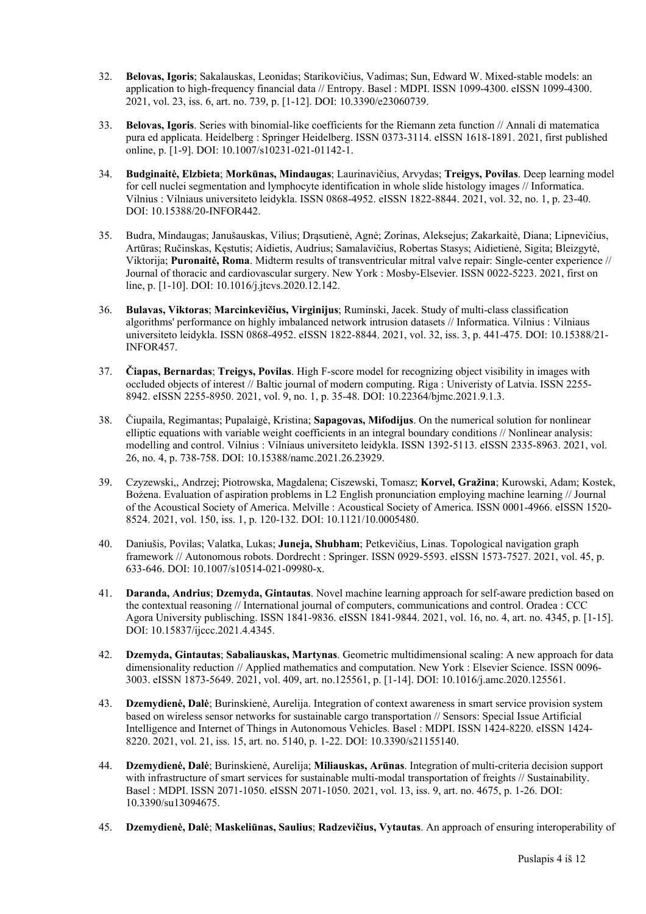- 32. **Belovas, Igoris**; Sakalauskas, Leonidas; Starikovičius, Vadimas; Sun, Edward W. Mixed-stable models: an application to high-frequency financial data // Entropy. Basel : MDPI. ISSN 1099-4300. eISSN 1099-4300. 2021, vol. 23, iss. 6, art. no. 739, p. [1-12]. DOI: [10.3390/e23060739.](https://doi.org/10.3390/e23060739)
- 33. **Belovas, Igoris**. Series with binomial-like coefficients for the Riemann zeta function // Annali di matematica pura ed applicata. Heidelberg : Springer Heidelberg. ISSN 0373-3114. eISSN 1618-1891. 2021, first published online, p. [1-9]. DOI: [10.1007/s10231-021-01142-1](https://doi.org/10.1007/s10231-021-01142-1).
- 34. **Budginaitė, Elzbieta**; **Morkūnas, Mindaugas**; Laurinavičius, Arvydas; **Treigys, Povilas**. Deep learning model for cell nuclei segmentation and lymphocyte identification in whole slide histology images // Informatica. Vilnius : Vilniaus universiteto leidykla. ISSN 0868-4952. eISSN 1822-8844. 2021, vol. 32, no. 1, p. 23-40. DOI: [10.15388/20-INFOR442.](https://doi.org/10.15388/20-INFOR442)
- 35. Budra, Mindaugas; Janušauskas, Vilius; Drąsutienė, Agnė; Zorinas, Aleksejus; Zakarkaitė, Diana; Lipnevičius, Artūras; Ručinskas, Kęstutis; Aidietis, Audrius; Samalavičius, Robertas Stasys; Aidietienė, Sigita; Bleizgytė, Viktorija; **Puronaitė, Roma**. Midterm results of transventricular mitral valve repair: Single-center experience // Journal of thoracic and cardiovascular surgery. New York : Mosby-Elsevier. ISSN 0022-5223. 2021, first on line, p. [1-10]. DOI: [10.1016/j.jtcvs.2020.12.142.](https://doi.org/10.1016/j.jtcvs.2020.12.142)
- 36. **Bulavas, Viktoras**; **Marcinkevičius, Virginijus**; Ruminski, Jacek. Study of multi-class classification algorithms' performance on highly imbalanced network intrusion datasets // Informatica. Vilnius : Vilniaus universiteto leidykla. ISSN 0868-4952. eISSN 1822-8844. 2021, vol. 32, iss. 3, p. 441-475. DOI: [10.15388/21-](https://doi.org/10.15388/21-INFOR457) [INFOR457.](https://doi.org/10.15388/21-INFOR457)
- 37. **Čiapas, Bernardas**; **Treigys, Povilas**. High F-score model for recognizing object visibility in images with occluded objects of interest // Baltic journal of modern computing. Riga : Univeristy of Latvia. ISSN 2255- 8942. eISSN 2255-8950. 2021, vol. 9, no. 1, p. 35-48. DOI: [10.22364/bjmc.2021.9.1.3](https://doi.org/10.22364/bjmc.2021.9.1.3).
- 38. Čiupaila, Regimantas; Pupalaigė, Kristina; **Sapagovas, Mifodijus**. On the numerical solution for nonlinear elliptic equations with variable weight coefficients in an integral boundary conditions // Nonlinear analysis: modelling and control. Vilnius : Vilniaus universiteto leidykla. ISSN 1392-5113. eISSN 2335-8963. 2021, vol. 26, no. 4, p. 738-758. DOI: [10.15388/namc.2021.26.23929.](https://doi.org/10.15388/namc.2021.26.23929)
- 39. Czyzewski,, Andrzej; Piotrowska, Magdalena; Ciszewski, Tomasz; **Korvel, Gražina**; Kurowski, Adam; Kostek, Bożena. Evaluation of aspiration problems in L2 English pronunciation employing machine learning // Journal of the Acoustical Society of America. Melville : Acoustical Society of America. ISSN 0001-4966. eISSN 1520- 8524. 2021, vol. 150, iss. 1, p. 120-132. DOI: [10.1121/10.0005480](https://doi.org/10.1121/10.0005480).
- 40. Daniušis, Povilas; Valatka, Lukas; **Juneja, Shubham**; Petkevičius, Linas. Topological navigation graph framework // Autonomous robots. Dordrecht : Springer. ISSN 0929-5593. eISSN 1573-7527. 2021, vol. 45, p. 633-646. DOI: [10.1007/s10514-021-09980-x.](https://doi.org/10.1007/s10514-021-09980-x)
- 41. **Daranda, Andrius**; **Dzemyda, Gintautas**. Novel machine learning approach for self-aware prediction based on the contextual reasoning // International journal of computers, communications and control. Oradea : CCC Agora University publisching. ISSN 1841-9836. eISSN 1841-9844. 2021, vol. 16, no. 4, art. no. 4345, p. [1-15]. DOI: [10.15837/ijccc.2021.4.4345.](https://doi.org/10.15837/ijccc.2021.4.4345)
- 42. **Dzemyda, Gintautas**; **Sabaliauskas, Martynas**. Geometric multidimensional scaling: A new approach for data dimensionality reduction // Applied mathematics and computation. New York : Elsevier Science. ISSN 0096- 3003. eISSN 1873-5649. 2021, vol. 409, art. no.125561, p. [1-14]. DOI: [10.1016/j.amc.2020.125561.](https://doi.org/10.1016/j.amc.2020.125561)
- 43. **Dzemydienė, Dalė**; Burinskienė, Aurelija. Integration of context awareness in smart service provision system based on wireless sensor networks for sustainable cargo transportation // Sensors: Special Issue Artificial Intelligence and Internet of Things in Autonomous Vehicles. Basel : MDPI. ISSN 1424-8220. eISSN 1424- 8220. 2021, vol. 21, iss. 15, art. no. 5140, p. 1-22. DOI: [10.3390/s21155140](https://doi.org/10.3390/s21155140).
- 44. **Dzemydienė, Dalė**; Burinskienė, Aurelija; **Miliauskas, Arūnas**. Integration of multi-criteria decision support with infrastructure of smart services for sustainable multi-modal transportation of freights // Sustainability. Basel : MDPI. ISSN 2071-1050. eISSN 2071-1050. 2021, vol. 13, iss. 9, art. no. 4675, p. 1-26. DOI: [10.3390/su13094675](https://doi.org/10.3390/su13094675).
- 45. **Dzemydienė, Dalė**; **Maskeliūnas, Saulius**; **Radzevičius, Vytautas**. An approach of ensuring interoperability of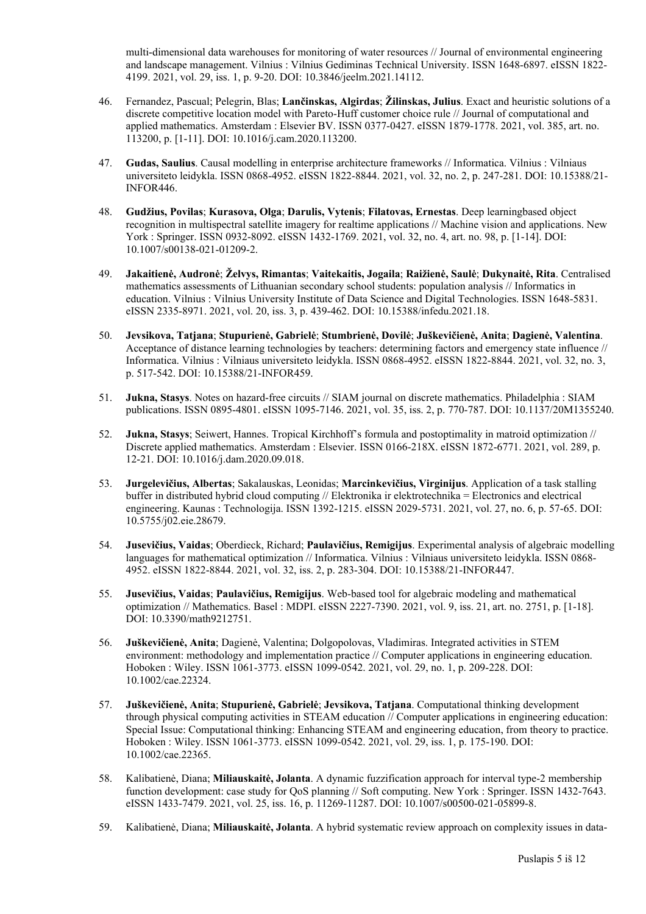multi-dimensional data warehouses for monitoring of water resources // Journal of environmental engineering and landscape management. Vilnius : Vilnius Gediminas Technical University. ISSN 1648-6897. eISSN 1822- 4199. 2021, vol. 29, iss. 1, p. 9-20. DOI: [10.3846/jeelm.2021.14112](https://doi.org/10.3846/jeelm.2021.14112).

- 46. Fernandez, Pascual; Pelegrin, Blas; **Lančinskas, Algirdas**; **Žilinskas, Julius**. Exact and heuristic solutions of a discrete competitive location model with Pareto-Huff customer choice rule // Journal of computational and applied mathematics. Amsterdam : Elsevier BV. ISSN 0377-0427. eISSN 1879-1778. 2021, vol. 385, art. no. 113200, p. [1-11]. DOI: [10.1016/j.cam.2020.113200](https://doi.org/10.1016/j.cam.2020.113200).
- 47. **Gudas, Saulius**. Causal modelling in enterprise architecture frameworks // Informatica. Vilnius : Vilniaus universiteto leidykla. ISSN 0868-4952. eISSN 1822-8844. 2021, vol. 32, no. 2, p. 247-281. DOI: [10.15388/21-](https://doi.org/10.15388/21-INFOR446) [INFOR446.](https://doi.org/10.15388/21-INFOR446)
- 48. **Gudžius, Povilas**; **Kurasova, Olga**; **Darulis, Vytenis**; **Filatovas, Ernestas**. Deep learningbased object recognition in multispectral satellite imagery for realtime applications // Machine vision and applications. New York : Springer. ISSN 0932-8092. eISSN 1432-1769. 2021, vol. 32, no. 4, art. no. 98, p. [1-14]. DOI: [10.1007/s00138-021-01209-2](https://doi.org/10.1007/s00138-021-01209-2).
- 49. **Jakaitienė, Audronė**; **Želvys, Rimantas**; **Vaitekaitis, Jogaila**; **Raižienė, Saulė**; **Dukynaitė, Rita**. Centralised mathematics assessments of Lithuanian secondary school students: population analysis // Informatics in education. Vilnius : Vilnius University Institute of Data Science and Digital Technologies. ISSN 1648-5831. eISSN 2335-8971. 2021, vol. 20, iss. 3, p. 439-462. DOI: [10.15388/infedu.2021.18](https://doi.org/10.15388/infedu.2021.18).
- 50. **Jevsikova, Tatjana**; **Stupurienė, Gabrielė**; **Stumbrienė, Dovilė**; **Juškevičienė, Anita**; **Dagienė, Valentina**. Acceptance of distance learning technologies by teachers: determining factors and emergency state influence // Informatica. Vilnius : Vilniaus universiteto leidykla. ISSN 0868-4952. eISSN 1822-8844. 2021, vol. 32, no. 3, p. 517-542. DOI: [10.15388/21-INFOR459.](https://doi.org/10.15388/21-INFOR459)
- 51. **Jukna, Stasys**. Notes on hazard-free circuits // SIAM journal on discrete mathematics. Philadelphia : SIAM publications. ISSN 0895-4801. eISSN 1095-7146. 2021, vol. 35, iss. 2, p. 770-787. DOI: [10.1137/20M1355240](https://doi.org/10.1137/20M1355240).
- 52. **Jukna, Stasys**; Seiwert, Hannes. Tropical Kirchhoff's formula and postoptimality in matroid optimization // Discrete applied mathematics. Amsterdam : Elsevier. ISSN 0166-218X. eISSN 1872-6771. 2021, vol. 289, p. 12-21. DOI: [10.1016/j.dam.2020.09.018.](https://doi.org/10.1016/j.dam.2020.09.018)
- 53. **Jurgelevičius, Albertas**; Sakalauskas, Leonidas; **Marcinkevičius, Virginijus**. Application of a task stalling buffer in distributed hybrid cloud computing // Elektronika ir elektrotechnika = Electronics and electrical engineering. Kaunas : Technologija. ISSN 1392-1215. eISSN 2029-5731. 2021, vol. 27, no. 6, p. 57-65. DOI: [10.5755/j02.eie.28679.](https://doi.org/10.5755/j02.eie.28679)
- 54. **Jusevičius, Vaidas**; Oberdieck, Richard; **Paulavičius, Remigijus**. Experimental analysis of algebraic modelling languages for mathematical optimization // Informatica. Vilnius : Vilniaus universiteto leidykla. ISSN 0868- 4952. eISSN 1822-8844. 2021, vol. 32, iss. 2, p. 283-304. DOI: [10.15388/21-INFOR447](https://doi.org/10.15388/21-INFOR447).
- 55. **Jusevičius, Vaidas**; **Paulavičius, Remigijus**. Web-based tool for algebraic modeling and mathematical optimization // Mathematics. Basel : MDPI. eISSN 2227-7390. 2021, vol. 9, iss. 21, art. no. 2751, p. [1-18]. DOI: [10.3390/math9212751](https://doi.org/10.3390/math9212751).
- 56. **Juškevičienė, Anita**; Dagienė, Valentina; Dolgopolovas, Vladimiras. Integrated activities in STEM environment: methodology and implementation practice // Computer applications in engineering education. Hoboken : Wiley. ISSN 1061-3773. eISSN 1099-0542. 2021, vol. 29, no. 1, p. 209-228. DOI: [10.1002/cae.22324](https://doi.org/10.1002/cae.22324).
- 57. **Juškevičienė, Anita**; **Stupurienė, Gabrielė**; **Jevsikova, Tatjana**. Computational thinking development through physical computing activities in STEAM education // Computer applications in engineering education: Special Issue: Computational thinking: Enhancing STEAM and engineering education, from theory to practice. Hoboken : Wiley. ISSN 1061-3773. eISSN 1099-0542. 2021, vol. 29, iss. 1, p. 175-190. DOI: [10.1002/cae.22365](https://doi.org/10.1002/cae.22365).
- 58. Kalibatienė, Diana; **Miliauskaitė, Jolanta**. A dynamic fuzzification approach for interval type-2 membership function development: case study for QoS planning // Soft computing. New York : Springer. ISSN 1432-7643. eISSN 1433-7479. 2021, vol. 25, iss. 16, p. 11269-11287. DOI: [10.1007/s00500-021-05899-8.](https://doi.org/10.1007/s00500-021-05899-8)
- 59. Kalibatienė, Diana; **Miliauskaitė, Jolanta**. A hybrid systematic review approach on complexity issues in data-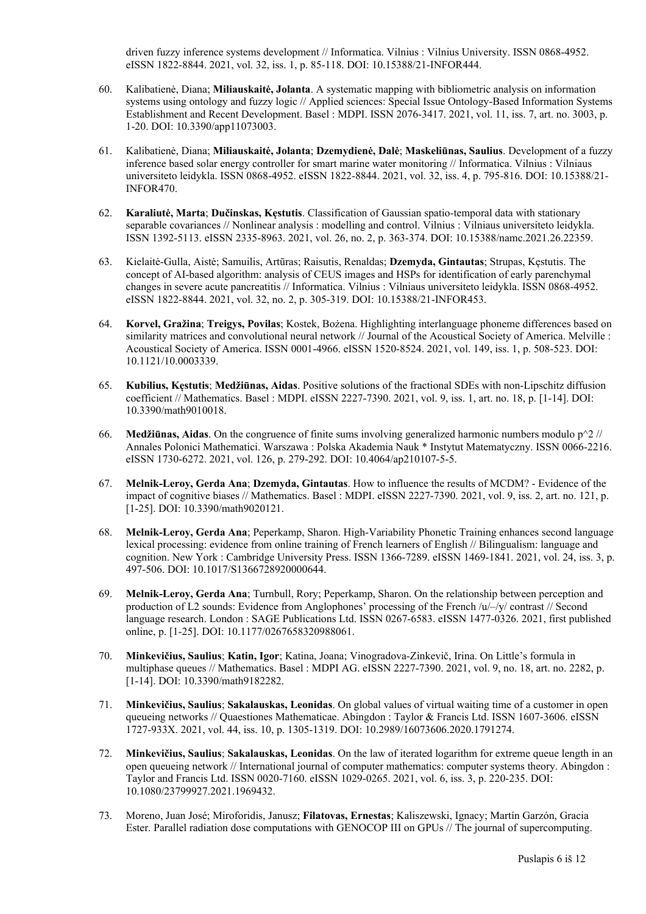driven fuzzy inference systems development // Informatica. Vilnius : Vilnius University. ISSN 0868-4952. eISSN 1822-8844. 2021, vol. 32, iss. 1, p. 85-118. DOI: [10.15388/21-INFOR444](https://doi.org/10.15388/21-INFOR444).

- 60. Kalibatienė, Diana; **Miliauskaitė, Jolanta**. A systematic mapping with bibliometric analysis on information systems using ontology and fuzzy logic // Applied sciences: Special Issue Ontology-Based Information Systems Establishment and Recent Development. Basel : MDPI. ISSN 2076-3417. 2021, vol. 11, iss. 7, art. no. 3003, p. 1-20. DOI: [10.3390/app11073003](https://doi.org/10.3390/app11073003).
- 61. Kalibatienė, Diana; **Miliauskaitė, Jolanta**; **Dzemydienė, Dalė**; **Maskeliūnas, Saulius**. Development of a fuzzy inference based solar energy controller for smart marine water monitoring // Informatica. Vilnius : Vilniaus universiteto leidykla. ISSN 0868-4952. eISSN 1822-8844. 2021, vol. 32, iss. 4, p. 795-816. DOI: [10.15388/21-](https://doi.org/10.15388/21-INFOR470) [INFOR470.](https://doi.org/10.15388/21-INFOR470)
- 62. **Karaliutė, Marta**; **Dučinskas, Kęstutis**. Classification of Gaussian spatio-temporal data with stationary separable covariances // Nonlinear analysis : modelling and control. Vilnius : Vilniaus universiteto leidykla. ISSN 1392-5113. eISSN 2335-8963. 2021, vol. 26, no. 2, p. 363-374. DOI: [10.15388/namc.2021.26.22359.](https://doi.org/10.15388/namc.2021.26.22359)
- 63. Kielaitė-Gulla, Aistė; Samuilis, Artūras; Raisutis, Renaldas; **Dzemyda, Gintautas**; Strupas, Kęstutis. The concept of AI-based algorithm: analysis of CEUS images and HSPs for identification of early parenchymal changes in severe acute pancreatitis // Informatica. Vilnius : Vilniaus universiteto leidykla. ISSN 0868-4952. eISSN 1822-8844. 2021, vol. 32, no. 2, p. 305-319. DOI: [10.15388/21-INFOR453.](https://doi.org/10.15388/21-INFOR453)
- 64. **Korvel, Gražina**; **Treigys, Povilas**; Kostek, Bożena. Highlighting interlanguage phoneme differences based on similarity matrices and convolutional neural network // Journal of the Acoustical Society of America. Melville : Acoustical Society of America. ISSN 0001-4966. eISSN 1520-8524. 2021, vol. 149, iss. 1, p. 508-523. DOI: [10.1121/10.0003339.](https://doi.org/10.1121/10.0003339)
- 65. **Kubilius, Kęstutis**; **Medžiūnas, Aidas**. Positive solutions of the fractional SDEs with non-Lipschitz diffusion coefficient // Mathematics. Basel : MDPI. eISSN 2227-7390. 2021, vol. 9, iss. 1, art. no. 18, p. [1-14]. DOI: [10.3390/math9010018](https://doi.org/10.3390/math9010018).
- 66. **Medžiūnas, Aidas**. On the congruence of finite sums involving generalized harmonic numbers modulo p^2 // Annales Polonici Mathematici. Warszawa : Polska Akademia Nauk \* Instytut Matematyczny. ISSN 0066-2216. eISSN 1730-6272. 2021, vol. 126, p. 279-292. DOI: [10.4064/ap210107-5-5](https://doi.org/10.4064/ap210107-5-5).
- 67. **Melnik-Leroy, Gerda Ana**; **Dzemyda, Gintautas**. How to influence the results of MCDM? Evidence of the impact of cognitive biases // Mathematics. Basel : MDPI. eISSN 2227-7390. 2021, vol. 9, iss. 2, art. no. 121, p. [1-25]. DOI: [10.3390/math9020121](https://doi.org/10.3390/math9020121).
- 68. **Melnik-Leroy, Gerda Ana**; Peperkamp, Sharon. High-Variability Phonetic Training enhances second language lexical processing: evidence from online training of French learners of English // Bilingualism: language and cognition. New York : Cambridge University Press. ISSN 1366-7289. eISSN 1469-1841. 2021, vol. 24, iss. 3, p. 497-506. DOI: [10.1017/S1366728920000644](https://doi.org/10.1017/S1366728920000644).
- 69. **Melnik-Leroy, Gerda Ana**; Turnbull, Rory; Peperkamp, Sharon. On the relationship between perception and production of L2 sounds: Evidence from Anglophones' processing of the French /u/–/y/ contrast // Second language research. London : SAGE Publications Ltd. ISSN 0267-6583. eISSN 1477-0326. 2021, first published online, p. [1-25]. DOI: [10.1177/0267658320988061](https://doi.org/10.1177/0267658320988061).
- 70. **Minkevičius, Saulius**; **Katin, Igor**; Katina, Joana; Vinogradova-Zinkevič, Irina. On Little's formula in multiphase queues // Mathematics. Basel : MDPI AG. eISSN 2227-7390. 2021, vol. 9, no. 18, art. no. 2282, p. [1-14]. DOI: [10.3390/math9182282](https://doi.org/10.3390/math9182282).
- 71. **Minkevičius, Saulius**; **Sakalauskas, Leonidas**. On global values of virtual waiting time of a customer in open queueing networks // Quaestiones Mathematicae. Abingdon : Taylor & Francis Ltd. ISSN 1607-3606. eISSN 1727-933X. 2021, vol. 44, iss. 10, p. 1305-1319. DOI: [10.2989/16073606.2020.1791274.](https://doi.org/10.2989/16073606.2020.1791274)
- 72. **Minkevičius, Saulius**; **Sakalauskas, Leonidas**. On the law of iterated logarithm for extreme queue length in an open queueing network // International journal of computer mathematics: computer systems theory. Abingdon : Taylor and Francis Ltd. ISSN 0020-7160. eISSN 1029-0265. 2021, vol. 6, iss. 3, p. 220-235. DOI: [10.1080/23799927.2021.1969432](https://doi.org/10.1080/23799927.2021.1969432).
- 73. Moreno, Juan José; Miroforidis, Janusz; **Filatovas, Ernestas**; Kaliszewski, Ignacy; Martín Garzón, Gracia Ester. Parallel radiation dose computations with GENOCOP III on GPUs // The journal of supercomputing.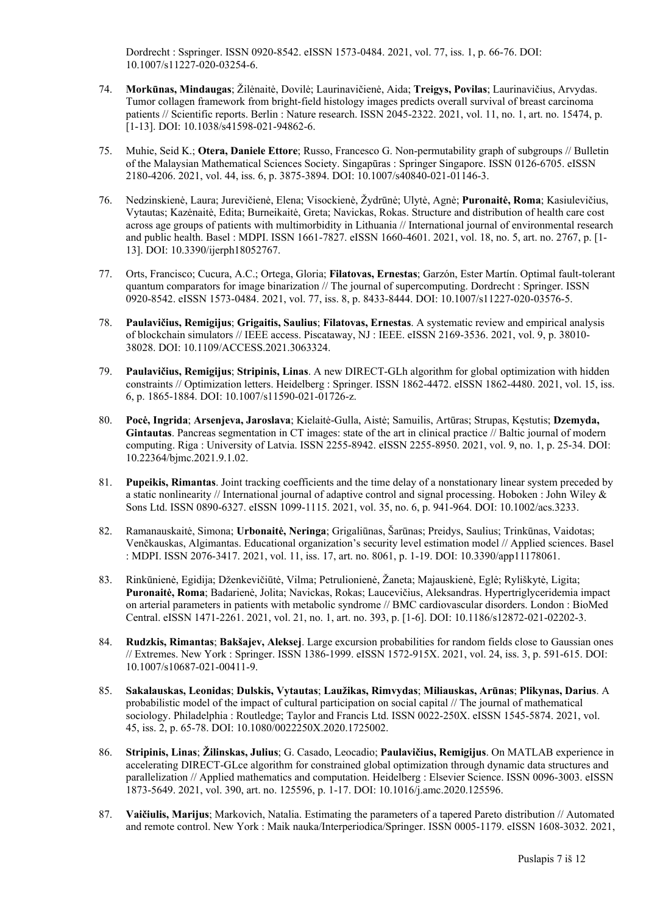Dordrecht : Sspringer. ISSN 0920-8542. eISSN 1573-0484. 2021, vol. 77, iss. 1, p. 66-76. DOI: [10.1007/s11227-020-03254-6](https://doi.org/10.1007/s11227-020-03254-6).

- 74. **Morkūnas, Mindaugas**; Žilėnaitė, Dovilė; Laurinavičienė, Aida; **Treigys, Povilas**; Laurinavičius, Arvydas. Tumor collagen framework from bright-field histology images predicts overall survival of breast carcinoma patients // Scientific reports. Berlin : Nature research. ISSN 2045-2322. 2021, vol. 11, no. 1, art. no. 15474, p. [1-13]. DOI: [10.1038/s41598-021-94862-6](https://doi.org/10.1038/s41598-021-94862-6).
- 75. Muhie, Seid K.; **Otera, Daniele Ettore**; Russo, Francesco G. Non-permutability graph of subgroups // Bulletin of the Malaysian Mathematical Sciences Society. Singapūras : Springer Singapore. ISSN 0126-6705. eISSN 2180-4206. 2021, vol. 44, iss. 6, p. 3875-3894. DOI: [10.1007/s40840-021-01146-3](https://doi.org/10.1007/s40840-021-01146-3).
- 76. Nedzinskienė, Laura; Jurevičienė, Elena; Visockienė, Žydrūnė; Ulytė, Agnė; **Puronaitė, Roma**; Kasiulevičius, Vytautas; Kazėnaitė, Edita; Burneikaitė, Greta; Navickas, Rokas. Structure and distribution of health care cost across age groups of patients with multimorbidity in Lithuania // International journal of environmental research and public health. Basel : MDPI. ISSN 1661-7827. eISSN 1660-4601. 2021, vol. 18, no. 5, art. no. 2767, p. [1- 13]. DOI: [10.3390/ijerph18052767.](https://doi.org/10.3390/ijerph18052767)
- 77. Orts, Francisco; Cucura, A.C.; Ortega, Gloria; **Filatovas, Ernestas**; Garzón, Ester Martín. Optimal fault-tolerant quantum comparators for image binarization // The journal of supercomputing. Dordrecht : Springer. ISSN 0920-8542. eISSN 1573-0484. 2021, vol. 77, iss. 8, p. 8433-8444. DOI: [10.1007/s11227-020-03576-5](https://doi.org/10.1007/s11227-020-03576-5).
- 78. **Paulavičius, Remigijus**; **Grigaitis, Saulius**; **Filatovas, Ernestas**. A systematic review and empirical analysis of blockchain simulators // IEEE access. Piscataway, NJ : IEEE. eISSN 2169-3536. 2021, vol. 9, p. 38010- 38028. DOI: [10.1109/ACCESS.2021.3063324](https://doi.org/10.1109/ACCESS.2021.3063324).
- 79. **Paulavičius, Remigijus**; **Stripinis, Linas**. A new DIRECT-GLh algorithm for global optimization with hidden constraints // Optimization letters. Heidelberg : Springer. ISSN 1862-4472. eISSN 1862-4480. 2021, vol. 15, iss. 6, p. 1865-1884. DOI: [10.1007/s11590-021-01726-z.](https://doi.org/10.1007/s11590-021-01726-z)
- 80. **Pocė, Ingrida**; **Arsenjeva, Jaroslava**; Kielaitė-Gulla, Aistė; Samuilis, Artūras; Strupas, Kęstutis; **Dzemyda, Gintautas**. Pancreas segmentation in CT images: state of the art in clinical practice // Baltic journal of modern computing. Riga : University of Latvia. ISSN 2255-8942. eISSN 2255-8950. 2021, vol. 9, no. 1, p. 25-34. DOI: [10.22364/bjmc.2021.9.1.02](https://doi.org/10.22364/bjmc.2021.9.1.02).
- 81. **Pupeikis, Rimantas**. Joint tracking coefficients and the time delay of a nonstationary linear system preceded by a static nonlinearity // International journal of adaptive control and signal processing. Hoboken : John Wiley & Sons Ltd. ISSN 0890-6327. eISSN 1099-1115. 2021, vol. 35, no. 6, p. 941-964. DOI: [10.1002/acs.3233.](https://doi.org/10.1002/acs.3233)
- 82. Ramanauskaitė, Simona; **Urbonaitė, Neringa**; Grigaliūnas, Šarūnas; Preidys, Saulius; Trinkūnas, Vaidotas; Venčkauskas, Algimantas. Educational organization's security level estimation model // Applied sciences. Basel : MDPI. ISSN 2076-3417. 2021, vol. 11, iss. 17, art. no. 8061, p. 1-19. DOI: [10.3390/app11178061.](https://doi.org/10.3390/app11178061)
- 83. Rinkūnienė, Egidija; Dženkevičiūtė, Vilma; Petrulionienė, Žaneta; Majauskienė, Eglė; Ryliškytė, Ligita; **Puronaitė, Roma**; Badarienė, Jolita; Navickas, Rokas; Laucevičius, Aleksandras. Hypertriglyceridemia impact on arterial parameters in patients with metabolic syndrome // BMC cardiovascular disorders. London : BioMed Central. eISSN 1471-2261. 2021, vol. 21, no. 1, art. no. 393, p. [1-6]. DOI: [10.1186/s12872-021-02202-3.](https://doi.org/10.1186/s12872-021-02202-3)
- 84. **Rudzkis, Rimantas**; **Bakšajev, Aleksej**. Large excursion probabilities for random fields close to Gaussian ones // Extremes. New York : Springer. ISSN 1386-1999. eISSN 1572-915X. 2021, vol. 24, iss. 3, p. 591-615. DOI: [10.1007/s10687-021-00411-9](https://doi.org/10.1007/s10687-021-00411-9).
- 85. **Sakalauskas, Leonidas**; **Dulskis, Vytautas**; **Laužikas, Rimvydas**; **Miliauskas, Arūnas**; **Plikynas, Darius**. A probabilistic model of the impact of cultural participation on social capital // The journal of mathematical sociology. Philadelphia : Routledge; Taylor and Francis Ltd. ISSN 0022-250X. eISSN 1545-5874. 2021, vol. 45, iss. 2, p. 65-78. DOI: [10.1080/0022250X.2020.1725002](https://doi.org/10.1080/0022250X.2020.1725002).
- 86. **Stripinis, Linas**; **Žilinskas, Julius**; G. Casado, Leocadio; **Paulavičius, Remigijus**. On MATLAB experience in accelerating DIRECT-GLce algorithm for constrained global optimization through dynamic data structures and parallelization // Applied mathematics and computation. Heidelberg : Elsevier Science. ISSN 0096-3003. eISSN 1873-5649. 2021, vol. 390, art. no. 125596, p. 1-17. DOI: [10.1016/j.amc.2020.125596](https://doi.org/10.1016/j.amc.2020.125596).
- 87. **Vaičiulis, Marijus**; Markovich, Natalia. Estimating the parameters of a tapered Pareto distribution // Automated and remote control. New York : Maik nauka/Interperiodica/Springer. ISSN 0005-1179. eISSN 1608-3032. 2021,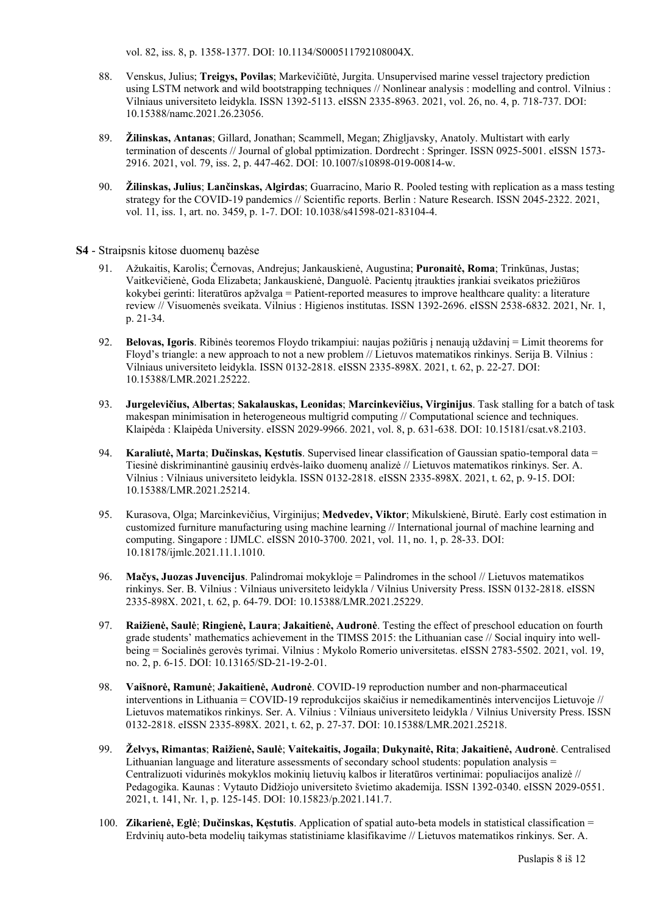vol. 82, iss. 8, p. 1358-1377. DOI: [10.1134/S000511792108004X.](https://doi.org/10.1134/S000511792108004X)

- 88. Venskus, Julius; **Treigys, Povilas**; Markevičiūtė, Jurgita. Unsupervised marine vessel trajectory prediction using LSTM network and wild bootstrapping techniques // Nonlinear analysis : modelling and control. Vilnius : Vilniaus universiteto leidykla. ISSN 1392-5113. eISSN 2335-8963. 2021, vol. 26, no. 4, p. 718-737. DOI: [10.15388/namc.2021.26.23056](https://doi.org/10.15388/namc.2021.26.23056).
- 89. **Žilinskas, Antanas**; Gillard, Jonathan; Scammell, Megan; Zhigljavsky, Anatoly. Multistart with early termination of descents // Journal of global pptimization. Dordrecht : Springer. ISSN 0925-5001. eISSN 1573- 2916. 2021, vol. 79, iss. 2, p. 447-462. DOI: [10.1007/s10898-019-00814-w](https://doi.org/10.1007/s10898-019-00814-w).
- 90. **Žilinskas, Julius**; **Lančinskas, Algirdas**; Guarracino, Mario R. Pooled testing with replication as a mass testing strategy for the COVID-19 pandemics // Scientific reports. Berlin : Nature Research. ISSN 2045-2322. 2021, vol. 11, iss. 1, art. no. 3459, p. 1-7. DOI: [10.1038/s41598-021-83104-4](https://doi.org/10.1038/s41598-021-83104-4).

#### **S4** - Straipsnis kitose duomenų bazėse

- 91. Ažukaitis, Karolis; Černovas, Andrejus; Jankauskienė, Augustina; **Puronaitė, Roma**; Trinkūnas, Justas; Vaitkevičienė, Goda Elizabeta; Jankauskienė, Danguolė. Pacientų įtraukties įrankiai sveikatos priežiūros kokybei gerinti: literatūros apžvalga = Patient-reported measures to improve healthcare quality: a literature review // Visuomenės sveikata. Vilnius : Higienos institutas. ISSN 1392-2696. eISSN 2538-6832. 2021, Nr. 1, p. 21-34.
- 92. **Belovas, Igoris**. Ribinės teoremos Floydo trikampiui: naujas požiūris į nenaują uždavinį = Limit theorems for Floyd's triangle: a new approach to not a new problem // Lietuvos matematikos rinkinys. Serija B. Vilnius : Vilniaus universiteto leidykla. ISSN 0132-2818. eISSN 2335-898X. 2021, t. 62, p. 22-27. DOI: [10.15388/LMR.2021.25222.](https://doi.org/10.15388/LMR.2021.25222)
- 93. **Jurgelevičius, Albertas**; **Sakalauskas, Leonidas**; **Marcinkevičius, Virginijus**. Task stalling for a batch of task makespan minimisation in heterogeneous multigrid computing // Computational science and techniques. Klaipėda : Klaipėda University. eISSN 2029-9966. 2021, vol. 8, p. 631-638. DOI: [10.15181/csat.v8.2103](https://doi.org/10.15181/csat.v8.2103).
- 94. **Karaliutė, Marta**; **Dučinskas, Kęstutis**. Supervised linear classification of Gaussian spatio-temporal data = Tiesinė diskriminantinė gausinių erdvės-laiko duomenų analizė // Lietuvos matematikos rinkinys. Ser. A. Vilnius : Vilniaus universiteto leidykla. ISSN 0132-2818. eISSN 2335-898X. 2021, t. 62, p. 9-15. DOI: [10.15388/LMR.2021.25214.](https://doi.org/10.15388/LMR.2021.25214)
- 95. Kurasova, Olga; Marcinkevičius, Virginijus; **Medvedev, Viktor**; Mikulskienė, Birutė. Early cost estimation in customized furniture manufacturing using machine learning // International journal of machine learning and computing. Singapore : IJMLC. eISSN 2010-3700. 2021, vol. 11, no. 1, p. 28-33. DOI: [10.18178/ijmlc.2021.11.1.1010.](https://doi.org/10.18178/ijmlc.2021.11.1.1010)
- 96. **Mačys, Juozas Juvencijus**. Palindromai mokykloje = Palindromes in the school // Lietuvos matematikos rinkinys. Ser. B. Vilnius : Vilniaus universiteto leidykla / Vilnius University Press. ISSN 0132-2818. eISSN 2335-898X. 2021, t. 62, p. 64-79. DOI: [10.15388/LMR.2021.25229.](https://doi.org/10.15388/LMR.2021.25229)
- 97. **Raižienė, Saulė**; **Ringienė, Laura**; **Jakaitienė, Audronė**. Testing the effect of preschool education on fourth grade students' mathematics achievement in the TIMSS 2015: the Lithuanian case // Social inquiry into wellbeing = Socialinės gerovės tyrimai. Vilnius : Mykolo Romerio universitetas. eISSN 2783-5502. 2021, vol. 19, no. 2, p. 6-15. DOI: [10.13165/SD-21-19-2-01.](https://doi.org/10.13165/SD-21-19-2-01)
- 98. **Vaišnorė, Ramunė**; **Jakaitienė, Audronė**. COVID-19 reproduction number and non-pharmaceutical interventions in Lithuania = COVID-19 reprodukcijos skaičius ir nemedikamentinės intervencijos Lietuvoje // Lietuvos matematikos rinkinys. Ser. A. Vilnius : Vilniaus universiteto leidykla / Vilnius University Press. ISSN 0132-2818. eISSN 2335-898X. 2021, t. 62, p. 27-37. DOI: [10.15388/LMR.2021.25218.](https://doi.org/10.15388/LMR.2021.25218)
- 99. **Želvys, Rimantas**; **Raižienė, Saulė**; **Vaitekaitis, Jogaila**; **Dukynaitė, Rita**; **Jakaitienė, Audronė**. Centralised Lithuanian language and literature assessments of secondary school students: population analysis  $=$ Centralizuoti vidurinės mokyklos mokinių lietuvių kalbos ir literatūros vertinimai: populiacijos analizė // Pedagogika. Kaunas : Vytauto Didžiojo universiteto švietimo akademija. ISSN 1392-0340. eISSN 2029-0551. 2021, t. 141, Nr. 1, p. 125-145. DOI: [10.15823/p.2021.141.7](https://doi.org/10.15823/p.2021.141.7).
- 100. **Zikarienė, Eglė**; **Dučinskas, Kęstutis**. Application of spatial auto-beta models in statistical classification = Erdvinių auto-beta modelių taikymas statistiniame klasifikavime // Lietuvos matematikos rinkinys. Ser. A.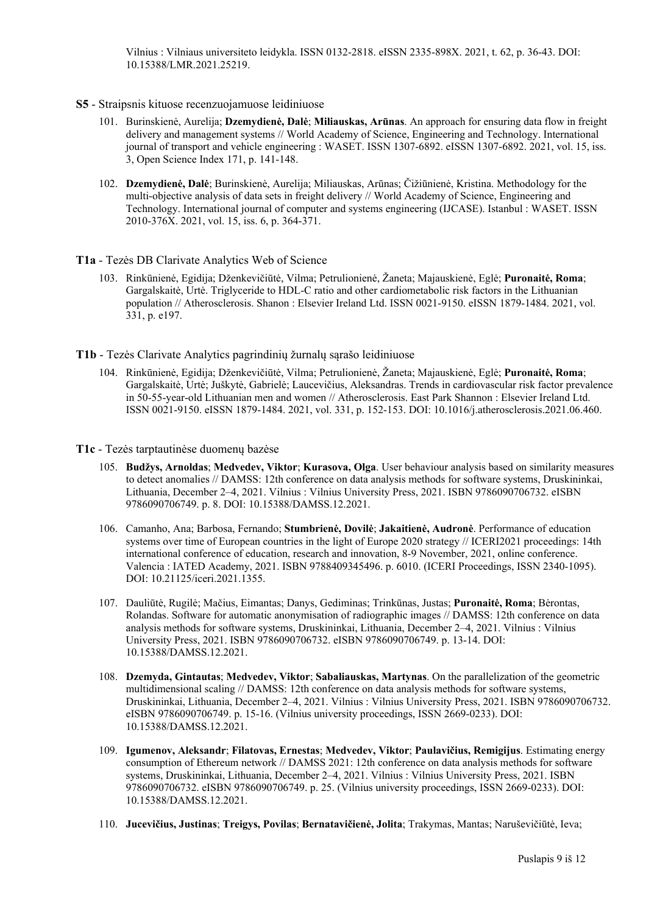Vilnius : Vilniaus universiteto leidykla. ISSN 0132-2818. eISSN 2335-898X. 2021, t. 62, p. 36-43. DOI: [10.15388/LMR.2021.25219.](https://doi.org/10.15388/LMR.2021.25219)

#### **S5** - Straipsnis kituose recenzuojamuose leidiniuose

- 101. Burinskienė, Aurelija; **Dzemydienė, Dalė**; **Miliauskas, Arūnas**. An approach for ensuring data flow in freight delivery and management systems // World Academy of Science, Engineering and Technology. International journal of transport and vehicle engineering : WASET. ISSN 1307-6892. eISSN 1307-6892. 2021, vol. 15, iss. 3, Open Science Index 171, p. 141-148.
- 102. **Dzemydienė, Dalė**; Burinskienė, Aurelija; Miliauskas, Arūnas; Čižiūnienė, Kristina. Methodology for the multi-objective analysis of data sets in freight delivery // World Academy of Science, Engineering and Technology. International journal of computer and systems engineering (IJCASE). Istanbul : WASET. ISSN 2010-376X. 2021, vol. 15, iss. 6, p. 364-371.

#### **T1a** - Tezės DB Clarivate Analytics Web of Science

- 103. Rinkūnienė, Egidija; Dženkevičiūtė, Vilma; Petrulionienė, Žaneta; Majauskienė, Eglė; **Puronaitė, Roma**; Gargalskaitė, Urtė. Triglyceride to HDL-C ratio and other cardiometabolic risk factors in the Lithuanian population // Atherosclerosis. Shanon : Elsevier Ireland Ltd. ISSN 0021-9150. eISSN 1879-1484. 2021, vol. 331, p. e197.
- **T1b** Tezės Clarivate Analytics pagrindinių žurnalų sąrašo leidiniuose
	- 104. Rinkūnienė, Egidija; Dženkevičiūtė, Vilma; Petrulionienė, Žaneta; Majauskienė, Eglė; **Puronaitė, Roma**; Gargalskaitė, Urtė; Juškytė, Gabrielė; Laucevičius, Aleksandras. Trends in cardiovascular risk factor prevalence in 50-55-year-old Lithuanian men and women // Atherosclerosis. East Park Shannon : Elsevier Ireland Ltd. ISSN 0021-9150. eISSN 1879-1484. 2021, vol. 331, p. 152-153. DOI: [10.1016/j.atherosclerosis.2021.06.460.](https://doi.org/10.1016/j.atherosclerosis.2021.06.460)
- **T1c** Tezės tarptautinėse duomenų bazėse
	- 105. **Budžys, Arnoldas**; **Medvedev, Viktor**; **Kurasova, Olga**. User behaviour analysis based on similarity measures to detect anomalies // DAMSS: 12th conference on data analysis methods for software systems, Druskininkai, Lithuania, December 2–4, 2021. Vilnius : Vilnius University Press, 2021. ISBN 9786090706732. eISBN 9786090706749. p. 8. DOI: [10.15388/DAMSS.12.2021.](https://doi.org/10.15388/DAMSS.12.2021)
	- 106. Camanho, Ana; Barbosa, Fernando; **Stumbrienė, Dovilė**; **Jakaitienė, Audronė**. Performance of education systems over time of European countries in the light of Europe 2020 strategy // ICERI2021 proceedings: 14th international conference of education, research and innovation, 8-9 November, 2021, online conference. Valencia : IATED Academy, 2021. ISBN 9788409345496. p. 6010. (ICERI Proceedings, ISSN 2340-1095). DOI: [10.21125/iceri.2021.1355](https://doi.org/10.21125/iceri.2021.1355).
	- 107. Dauliūtė, Rugilė; Mačius, Eimantas; Danys, Gediminas; Trinkūnas, Justas; **Puronaitė, Roma**; Bėrontas, Rolandas. Software for automatic anonymisation of radiographic images // DAMSS: 12th conference on data analysis methods for software systems, Druskininkai, Lithuania, December 2–4, 2021. Vilnius : Vilnius University Press, 2021. ISBN 9786090706732. eISBN 9786090706749. p. 13-14. DOI: [10.15388/DAMSS.12.2021.](https://doi.org/10.15388/DAMSS.12.2021)
	- 108. **Dzemyda, Gintautas**; **Medvedev, Viktor**; **Sabaliauskas, Martynas**. On the parallelization of the geometric multidimensional scaling // DAMSS: 12th conference on data analysis methods for software systems, Druskininkai, Lithuania, December 2–4, 2021. Vilnius : Vilnius University Press, 2021. ISBN 9786090706732. eISBN 9786090706749. p. 15-16. (Vilnius university proceedings, ISSN 2669-0233). DOI: [10.15388/DAMSS.12.2021.](https://doi.org/10.15388/DAMSS.12.2021)
	- 109. **Igumenov, Aleksandr**; **Filatovas, Ernestas**; **Medvedev, Viktor**; **Paulavičius, Remigijus**. Estimating energy consumption of Ethereum network // DAMSS 2021: 12th conference on data analysis methods for software systems, Druskininkai, Lithuania, December 2–4, 2021. Vilnius : Vilnius University Press, 2021. ISBN 9786090706732. eISBN 9786090706749. p. 25. (Vilnius university proceedings, ISSN 2669-0233). DOI: [10.15388/DAMSS.12.2021.](https://doi.org/10.15388/DAMSS.12.2021)
	- 110. **Jucevičius, Justinas**; **Treigys, Povilas**; **Bernatavičienė, Jolita**; Trakymas, Mantas; Naruševičiūtė, Ieva;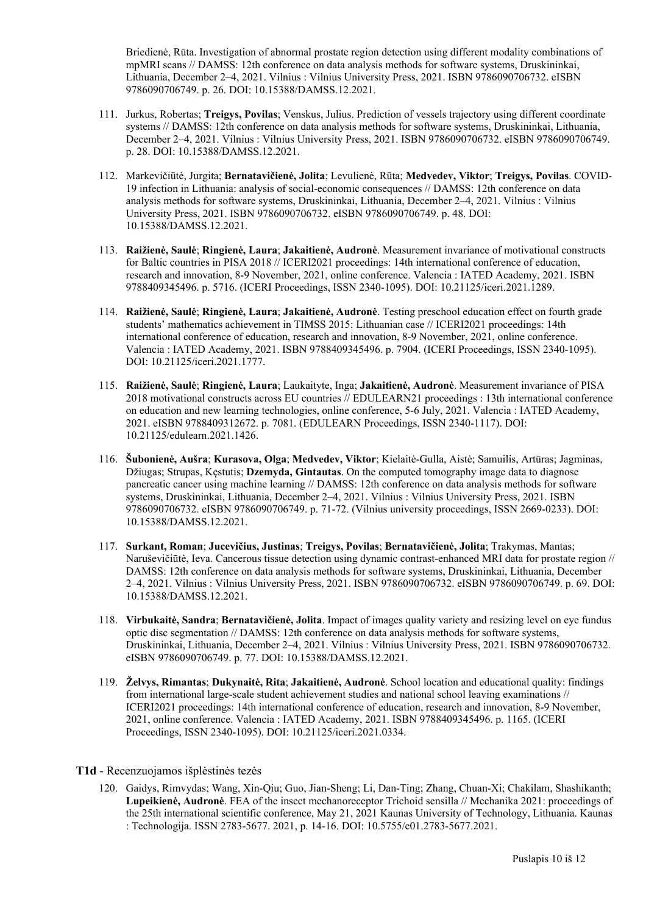Briedienė, Rūta. Investigation of abnormal prostate region detection using different modality combinations of mpMRI scans // DAMSS: 12th conference on data analysis methods for software systems, Druskininkai, Lithuania, December 2–4, 2021. Vilnius : Vilnius University Press, 2021. ISBN 9786090706732. eISBN 9786090706749. p. 26. DOI: [10.15388/DAMSS.12.2021.](https://doi.org/10.15388/DAMSS.12.2021)

- 111. Jurkus, Robertas; **Treigys, Povilas**; Venskus, Julius. Prediction of vessels trajectory using different coordinate systems // DAMSS: 12th conference on data analysis methods for software systems, Druskininkai, Lithuania, December 2–4, 2021. Vilnius : Vilnius University Press, 2021. ISBN 9786090706732. eISBN 9786090706749. p. 28. DOI: [10.15388/DAMSS.12.2021.](https://doi.org/10.15388/DAMSS.12.2021)
- 112. Markevičiūtė, Jurgita; **Bernatavičienė, Jolita**; Levulienė, Rūta; **Medvedev, Viktor**; **Treigys, Povilas**. COVID-19 infection in Lithuania: analysis of social-economic consequences // DAMSS: 12th conference on data analysis methods for software systems, Druskininkai, Lithuania, December 2–4, 2021. Vilnius : Vilnius University Press, 2021. ISBN 9786090706732. eISBN 9786090706749. p. 48. DOI: [10.15388/DAMSS.12.2021.](https://doi.org/10.15388/DAMSS.12.2021)
- 113. **Raižienė, Saulė**; **Ringienė, Laura**; **Jakaitienė, Audronė**. Measurement invariance of motivational constructs for Baltic countries in PISA 2018 // ICERI2021 proceedings: 14th international conference of education, research and innovation, 8-9 November, 2021, online conference. Valencia : IATED Academy, 2021. ISBN 9788409345496. p. 5716. (ICERI Proceedings, ISSN 2340-1095). DOI: [10.21125/iceri.2021.1289.](https://doi.org/10.21125/iceri.2021.1289)
- 114. **Raižienė, Saulė**; **Ringienė, Laura**; **Jakaitienė, Audronė**. Testing preschool education effect on fourth grade students' mathematics achievement in TIMSS 2015: Lithuanian case // ICERI2021 proceedings: 14th international conference of education, research and innovation, 8-9 November, 2021, online conference. Valencia : IATED Academy, 2021. ISBN 9788409345496. p. 7904. (ICERI Proceedings, ISSN 2340-1095). DOI: [10.21125/iceri.2021.1777](https://doi.org/10.21125/iceri.2021.1777).
- 115. **Raižienė, Saulė**; **Ringienė, Laura**; Laukaityte, Inga; **Jakaitienė, Audronė**. Measurement invariance of PISA 2018 motivational constructs across EU countries // EDULEARN21 proceedings : 13th international conference on education and new learning technologies, online conference, 5-6 July, 2021. Valencia : IATED Academy, 2021. eISBN 9788409312672. p. 7081. (EDULEARN Proceedings, ISSN 2340-1117). DOI: [10.21125/edulearn.2021.1426.](https://doi.org/10.21125/edulearn.2021.1426)
- 116. **Šubonienė, Aušra**; **Kurasova, Olga**; **Medvedev, Viktor**; Kielaitė-Gulla, Aistė; Samuilis, Artūras; Jagminas, Džiugas; Strupas, Kęstutis; **Dzemyda, Gintautas**. On the computed tomography image data to diagnose pancreatic cancer using machine learning // DAMSS: 12th conference on data analysis methods for software systems, Druskininkai, Lithuania, December 2–4, 2021. Vilnius : Vilnius University Press, 2021. ISBN 9786090706732. eISBN 9786090706749. p. 71-72. (Vilnius university proceedings, ISSN 2669-0233). DOI: [10.15388/DAMSS.12.2021.](https://doi.org/10.15388/DAMSS.12.2021)
- 117. **Surkant, Roman**; **Jucevičius, Justinas**; **Treigys, Povilas**; **Bernatavičienė, Jolita**; Trakymas, Mantas; Naruševičiūtė, Ieva. Cancerous tissue detection using dynamic contrast-enhanced MRI data for prostate region // DAMSS: 12th conference on data analysis methods for software systems, Druskininkai, Lithuania, December 2–4, 2021. Vilnius : Vilnius University Press, 2021. ISBN 9786090706732. eISBN 9786090706749. p. 69. DOI: [10.15388/DAMSS.12.2021.](https://doi.org/10.15388/DAMSS.12.2021)
- 118. **Virbukaitė, Sandra**; **Bernatavičienė, Jolita**. Impact of images quality variety and resizing level on eye fundus optic disc segmentation // DAMSS: 12th conference on data analysis methods for software systems, Druskininkai, Lithuania, December 2–4, 2021. Vilnius : Vilnius University Press, 2021. ISBN 9786090706732. eISBN 9786090706749. p. 77. DOI: [10.15388/DAMSS.12.2021](https://doi.org/10.15388/DAMSS.12.2021).
- 119. **Želvys, Rimantas**; **Dukynaitė, Rita**; **Jakaitienė, Audronė**. School location and educational quality: findings from international large-scale student achievement studies and national school leaving examinations // ICERI2021 proceedings: 14th international conference of education, research and innovation, 8-9 November, 2021, online conference. Valencia : IATED Academy, 2021. ISBN 9788409345496. p. 1165. (ICERI Proceedings, ISSN 2340-1095). DOI: [10.21125/iceri.2021.0334.](https://doi.org/10.21125/iceri.2021.0334)

#### **T1d** - Recenzuojamos išplėstinės tezės

120. Gaidys, Rimvydas; Wang, Xin-Qiu; Guo, Jian-Sheng; Li, Dan-Ting; Zhang, Chuan-Xi; Chakilam, Shashikanth; **Lupeikienė, Audronė**. FEA of the insect mechanoreceptor Trichoid sensilla // Mechanika 2021: proceedings of the 25th international scientific conference, May 21, 2021 Kaunas University of Technology, Lithuania. Kaunas : Technologija. ISSN 2783-5677. 2021, p. 14-16. DOI: [10.5755/e01.2783-5677.2021.](https://doi.org/10.5755/e01.2783-5677.2021)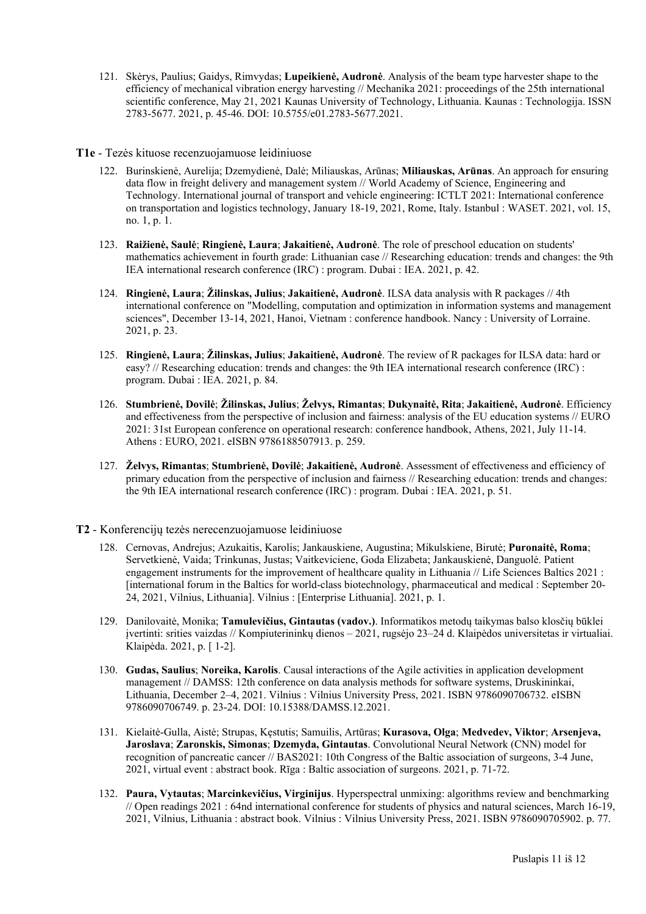121. Skėrys, Paulius; Gaidys, Rimvydas; **Lupeikienė, Audronė**. Analysis of the beam type harvester shape to the efficiency of mechanical vibration energy harvesting // Mechanika 2021: proceedings of the 25th international scientific conference, May 21, 2021 Kaunas University of Technology, Lithuania. Kaunas : Technologija. ISSN 2783-5677. 2021, p. 45-46. DOI: [10.5755/e01.2783-5677.2021.](https://doi.org/10.5755/e01.2783-5677.2021)

#### **T1e** - Tezės kituose recenzuojamuose leidiniuose

- 122. Burinskienė, Aurelija; Dzemydienė, Dalė; Miliauskas, Arūnas; **Miliauskas, Arūnas**. An approach for ensuring data flow in freight delivery and management system // World Academy of Science, Engineering and Technology. International journal of transport and vehicle engineering: ICTLT 2021: International conference on transportation and logistics technology, January 18-19, 2021, Rome, Italy. Istanbul : WASET. 2021, vol. 15, no. 1, p. 1.
- 123. **Raižienė, Saulė**; **Ringienė, Laura**; **Jakaitienė, Audronė**. The role of preschool education on students' mathematics achievement in fourth grade: Lithuanian case // Researching education: trends and changes: the 9th IEA international research conference (IRC) : program. Dubai : IEA. 2021, p. 42.
- 124. **Ringienė, Laura**; **Žilinskas, Julius**; **Jakaitienė, Audronė**. ILSA data analysis with R packages // 4th international conference on "Modelling, computation and optimization in information systems and management sciences", December 13-14, 2021, Hanoi, Vietnam : conference handbook. Nancy : University of Lorraine. 2021, p. 23.
- 125. **Ringienė, Laura**; **Žilinskas, Julius**; **Jakaitienė, Audronė**. The review of R packages for ILSA data: hard or easy? // Researching education: trends and changes: the 9th IEA international research conference (IRC) : program. Dubai : IEA. 2021, p. 84.
- 126. **Stumbrienė, Dovilė**; **Žilinskas, Julius**; **Želvys, Rimantas**; **Dukynaitė, Rita**; **Jakaitienė, Audronė**. Efficiency and effectiveness from the perspective of inclusion and fairness: analysis of the EU education systems // EURO 2021: 31st European conference on operational research: conference handbook, Athens, 2021, July 11-14. Athens : EURO, 2021. eISBN 9786188507913. p. 259.
- 127. **Želvys, Rimantas**; **Stumbrienė, Dovilė**; **Jakaitienė, Audronė**. Assessment of effectiveness and efficiency of primary education from the perspective of inclusion and fairness // Researching education: trends and changes: the 9th IEA international research conference (IRC) : program. Dubai : IEA. 2021, p. 51.
- **T2** Konferencijų tezės nerecenzuojamuose leidiniuose
	- 128. Cernovas, Andrejus; Azukaitis, Karolis; Jankauskiene, Augustina; Mikulskiene, Birutė; **Puronaitė, Roma**; Servetkienė, Vaida; Trinkunas, Justas; Vaitkeviciene, Goda Elizabeta; Jankauskienė, Danguolė. Patient engagement instruments for the improvement of healthcare quality in Lithuania // Life Sciences Baltics 2021 : [international forum in the Baltics for world-class biotechnology, pharmaceutical and medical : September 20- 24, 2021, Vilnius, Lithuania]. Vilnius : [Enterprise Lithuania]. 2021, p. 1.
	- 129. Danilovaitė, Monika; **Tamulevičius, Gintautas (vadov.)**. Informatikos metodų taikymas balso klosčių būklei įvertinti: srities vaizdas // Kompiuterininkų dienos – 2021, rugsėjo 23–24 d. Klaipėdos universitetas ir virtualiai. Klaipėda. 2021, p. [ 1-2].
	- 130. **Gudas, Saulius**; **Noreika, Karolis**. Causal interactions of the Agile activities in application development management // DAMSS: 12th conference on data analysis methods for software systems, Druskininkai, Lithuania, December 2–4, 2021. Vilnius : Vilnius University Press, 2021. ISBN 9786090706732. eISBN 9786090706749. p. 23-24. DOI: [10.15388/DAMSS.12.2021](https://doi.org/10.15388/DAMSS.12.2021).
	- 131. Kielaitė-Gulla, Aistė; Strupas, Kęstutis; Samuilis, Artūras; **Kurasova, Olga**; **Medvedev, Viktor**; **Arsenjeva, Jaroslava**; **Zaronskis, Simonas**; **Dzemyda, Gintautas**. Convolutional Neural Network (CNN) model for recognition of pancreatic cancer // BAS2021: 10th Congress of the Baltic association of surgeons, 3-4 June, 2021, virtual event : abstract book. Rīga : Baltic association of surgeons. 2021, p. 71-72.
	- 132. **Paura, Vytautas**; **Marcinkevičius, Virginijus**. Hyperspectral unmixing: algorithms review and benchmarking // Open readings 2021 : 64nd international conference for students of physics and natural sciences, March 16-19, 2021, Vilnius, Lithuania : abstract book. Vilnius : Vilnius University Press, 2021. ISBN 9786090705902. p. 77.